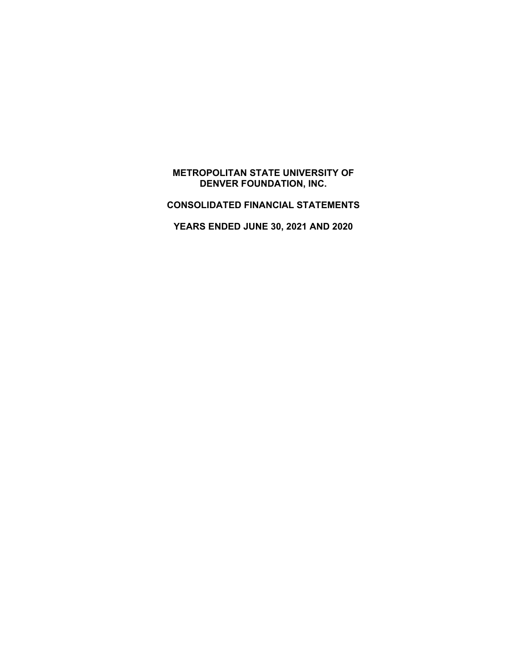# **METROPOLITAN STATE UNIVERSITY OF DENVER FOUNDATION, INC.**

**CONSOLIDATED FINANCIAL STATEMENTS** 

**YEARS ENDED JUNE 30, 2021 AND 2020**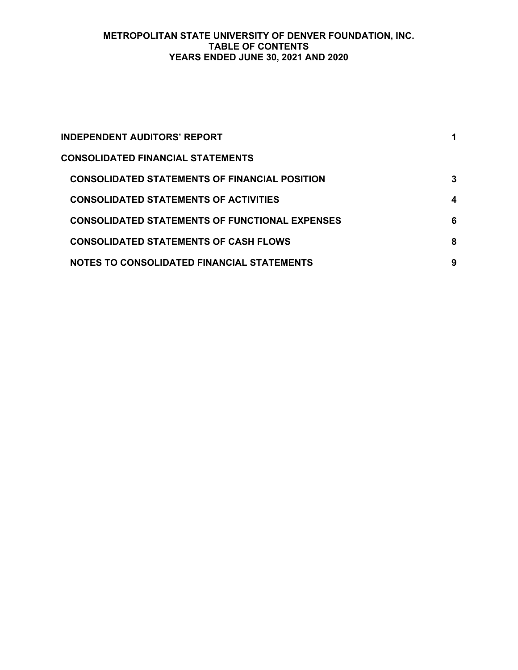# **METROPOLITAN STATE UNIVERSITY OF DENVER FOUNDATION, INC. TABLE OF CONTENTS YEARS ENDED JUNE 30, 2021 AND 2020**

| INDEPENDENT AUDITORS' REPORT                          |   |
|-------------------------------------------------------|---|
| <b>CONSOLIDATED FINANCIAL STATEMENTS</b>              |   |
| <b>CONSOLIDATED STATEMENTS OF FINANCIAL POSITION</b>  | 3 |
| <b>CONSOLIDATED STATEMENTS OF ACTIVITIES</b>          | 4 |
| <b>CONSOLIDATED STATEMENTS OF FUNCTIONAL EXPENSES</b> | 6 |
| <b>CONSOLIDATED STATEMENTS OF CASH FLOWS</b>          | 8 |
| NOTES TO CONSOLIDATED FINANCIAL STATEMENTS            | 9 |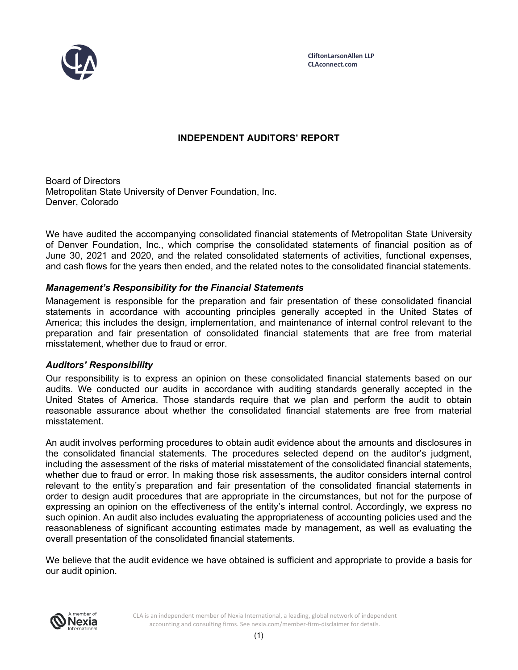

# **INDEPENDENT AUDITORS' REPORT**

Board of Directors Metropolitan State University of Denver Foundation, Inc. Denver, Colorado

We have audited the accompanying consolidated financial statements of Metropolitan State University of Denver Foundation, Inc., which comprise the consolidated statements of financial position as of June 30, 2021 and 2020, and the related consolidated statements of activities, functional expenses, and cash flows for the years then ended, and the related notes to the consolidated financial statements.

# *Management's Responsibility for the Financial Statements*

Management is responsible for the preparation and fair presentation of these consolidated financial statements in accordance with accounting principles generally accepted in the United States of America; this includes the design, implementation, and maintenance of internal control relevant to the preparation and fair presentation of consolidated financial statements that are free from material misstatement, whether due to fraud or error.

# *Auditors' Responsibility*

Our responsibility is to express an opinion on these consolidated financial statements based on our audits. We conducted our audits in accordance with auditing standards generally accepted in the United States of America. Those standards require that we plan and perform the audit to obtain reasonable assurance about whether the consolidated financial statements are free from material misstatement.

An audit involves performing procedures to obtain audit evidence about the amounts and disclosures in the consolidated financial statements. The procedures selected depend on the auditor's judgment, including the assessment of the risks of material misstatement of the consolidated financial statements, whether due to fraud or error. In making those risk assessments, the auditor considers internal control relevant to the entity's preparation and fair presentation of the consolidated financial statements in order to design audit procedures that are appropriate in the circumstances, but not for the purpose of expressing an opinion on the effectiveness of the entity's internal control. Accordingly, we express no such opinion. An audit also includes evaluating the appropriateness of accounting policies used and the reasonableness of significant accounting estimates made by management, as well as evaluating the overall presentation of the consolidated financial statements.

We believe that the audit evidence we have obtained is sufficient and appropriate to provide a basis for our audit opinion.



CLA is an independent member of Nexia International, a leading, global network of independent accounting and consulting firms. See nexia.com/member-firm-disclaimer for details.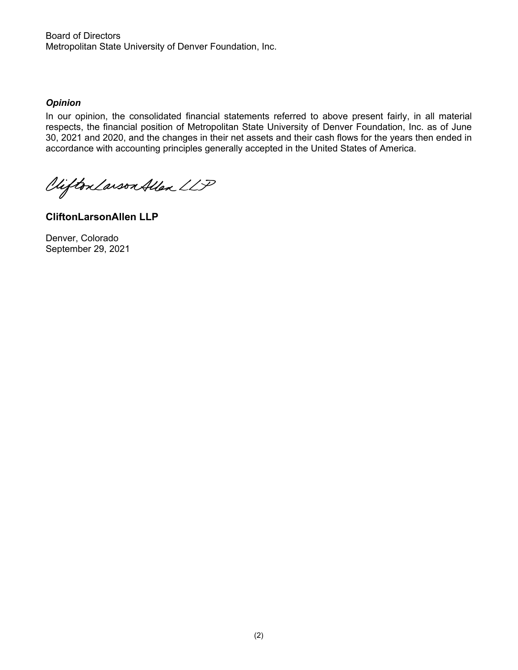Board of Directors Metropolitan State University of Denver Foundation, Inc.

# *Opinion*

In our opinion, the consolidated financial statements referred to above present fairly, in all material respects, the financial position of Metropolitan State University of Denver Foundation, Inc. as of June 30, 2021 and 2020, and the changes in their net assets and their cash flows for the years then ended in accordance with accounting principles generally accepted in the United States of America.

Vifton Larson Allen LLP

**CliftonLarsonAllen LLP** 

Denver, Colorado September 29, 2021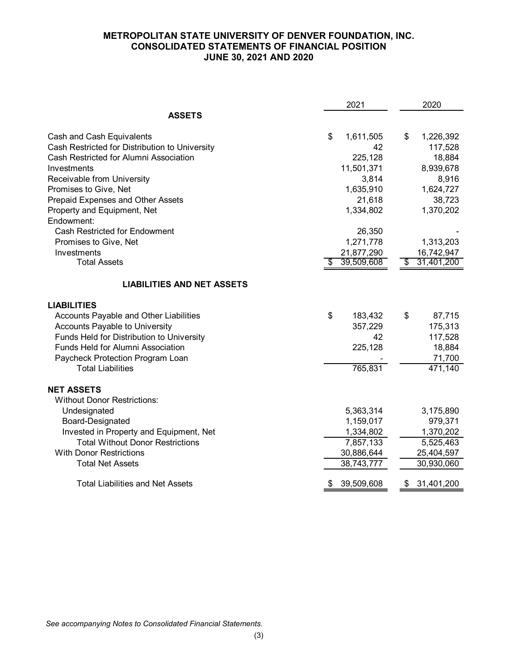# **METROPOLITAN STATE UNIVERSITY OF DENVER FOUNDATION, INC. CONSOLIDATED STATEMENTS OF FINANCIAL POSITION JUNE 30, 2021 AND 2020**

|                                                | 2021             | 2020             |
|------------------------------------------------|------------------|------------------|
| <b>ASSETS</b>                                  |                  |                  |
| Cash and Cash Equivalents                      | \$<br>1,611,505  | \$<br>1,226,392  |
| Cash Restricted for Distribution to University | 42               | 117,528          |
| Cash Restricted for Alumni Association         | 225,128          | 18,884           |
| Investments                                    | 11,501,371       | 8,939,678        |
| Receivable from University                     | 3,814            | 8,916            |
| Promises to Give, Net                          | 1,635,910        | 1,624,727        |
| Prepaid Expenses and Other Assets              | 21,618           | 38,723           |
| Property and Equipment, Net                    | 1,334,802        | 1,370,202        |
| Endowment:                                     |                  |                  |
| <b>Cash Restricted for Endowment</b>           | 26,350           |                  |
| Promises to Give, Net                          | 1,271,778        | 1,313,203        |
| Investments                                    | 21,877,290       | 16,742,947       |
| <b>Total Assets</b>                            | 39,509,608<br>\$ | 31,401,200<br>\$ |
| <b>LIABILITIES AND NET ASSETS</b>              |                  |                  |
| <b>LIABILITIES</b>                             |                  |                  |
| Accounts Payable and Other Liabilities         | \$<br>183,432    | \$<br>87,715     |
| Accounts Payable to University                 | 357,229          | 175,313          |
| Funds Held for Distribution to University      | 42               | 117,528          |
| Funds Held for Alumni Association              | 225,128          | 18,884           |
| Paycheck Protection Program Loan               |                  | 71,700           |
| <b>Total Liabilities</b>                       | 765,831          | 471,140          |
| <b>NET ASSETS</b>                              |                  |                  |
| <b>Without Donor Restrictions:</b>             |                  |                  |
| Undesignated                                   | 5,363,314        | 3,175,890        |
| Board-Designated                               | 1,159,017        | 979,371          |
| Invested in Property and Equipment, Net        | 1,334,802        | 1,370,202        |
| <b>Total Without Donor Restrictions</b>        | 7,857,133        | 5,525,463        |
| <b>With Donor Restrictions</b>                 | 30,886,644       | 25,404,597       |
| <b>Total Net Assets</b>                        | 38,743,777       | 30,930,060       |
| <b>Total Liabilities and Net Assets</b>        | 39,509,608<br>\$ | 31,401,200<br>\$ |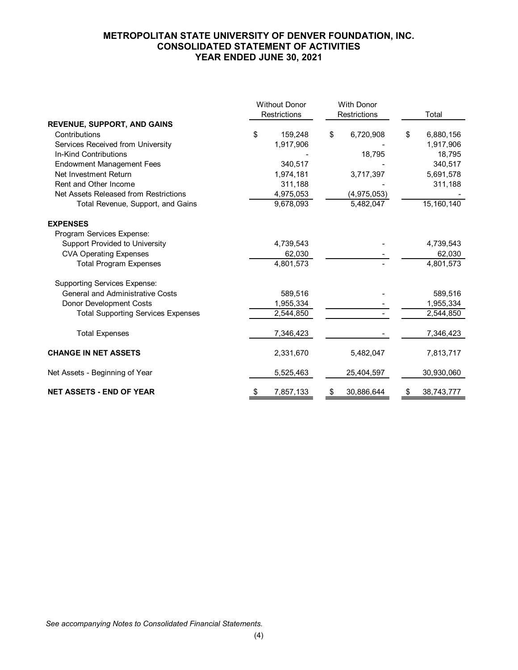# **METROPOLITAN STATE UNIVERSITY OF DENVER FOUNDATION, INC. CONSOLIDATED STATEMENT OF ACTIVITIES YEAR ENDED JUNE 30, 2021**

|                                           | <b>Without Donor</b> |    | <b>With Donor</b> |                  |
|-------------------------------------------|----------------------|----|-------------------|------------------|
|                                           | Restrictions         |    | Restrictions      | Total            |
| <b>REVENUE, SUPPORT, AND GAINS</b>        |                      |    |                   |                  |
| Contributions                             | \$<br>159,248        | \$ | 6,720,908         | \$<br>6,880,156  |
| Services Received from University         | 1,917,906            |    |                   | 1,917,906        |
| In-Kind Contributions                     |                      |    | 18,795            | 18,795           |
| <b>Endowment Management Fees</b>          | 340,517              |    |                   | 340,517          |
| Net Investment Return                     | 1,974,181            |    | 3,717,397         | 5,691,578        |
| Rent and Other Income                     | 311,188              |    |                   | 311,188          |
| Net Assets Released from Restrictions     | 4,975,053            |    | (4,975,053)       |                  |
| Total Revenue, Support, and Gains         | 9,678,093            |    | 5,482,047         | 15,160,140       |
| <b>EXPENSES</b>                           |                      |    |                   |                  |
| Program Services Expense:                 |                      |    |                   |                  |
| <b>Support Provided to University</b>     | 4,739,543            |    |                   | 4,739,543        |
| <b>CVA Operating Expenses</b>             | 62,030               |    |                   | 62,030           |
| <b>Total Program Expenses</b>             | 4,801,573            |    |                   | 4,801,573        |
| <b>Supporting Services Expense:</b>       |                      |    |                   |                  |
| <b>General and Administrative Costs</b>   | 589,516              |    |                   | 589,516          |
| Donor Development Costs                   | 1,955,334            |    |                   | 1,955,334        |
| <b>Total Supporting Services Expenses</b> | 2,544,850            |    |                   | 2,544,850        |
| <b>Total Expenses</b>                     | 7,346,423            |    |                   | 7,346,423        |
| <b>CHANGE IN NET ASSETS</b>               | 2,331,670            |    | 5,482,047         | 7,813,717        |
| Net Assets - Beginning of Year            | 5,525,463            |    | 25,404,597        | 30,930,060       |
| <b>NET ASSETS - END OF YEAR</b>           | \$<br>7,857,133      | \$ | 30,886,644        | \$<br>38,743,777 |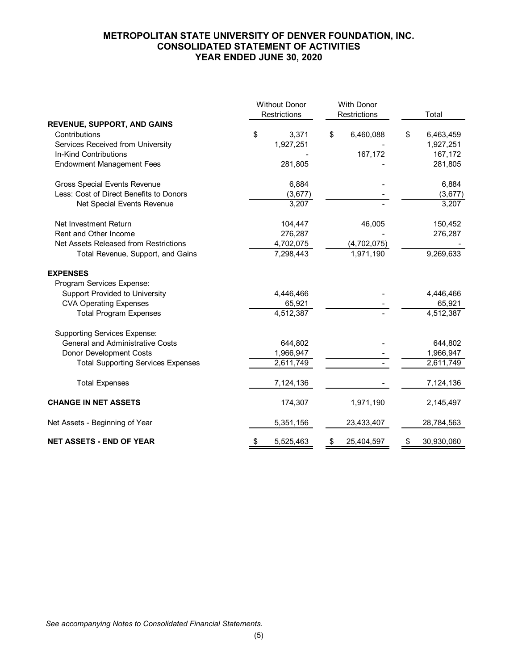# **METROPOLITAN STATE UNIVERSITY OF DENVER FOUNDATION, INC. CONSOLIDATED STATEMENT OF ACTIVITIES YEAR ENDED JUNE 30, 2020**

|                                           | <b>Without Donor</b><br>Restrictions | <b>With Donor</b><br>Restrictions | Total            |
|-------------------------------------------|--------------------------------------|-----------------------------------|------------------|
| <b>REVENUE, SUPPORT, AND GAINS</b>        |                                      |                                   |                  |
| Contributions                             | \$<br>3,371                          | \$<br>6,460,088                   | \$<br>6,463,459  |
| Services Received from University         | 1,927,251                            |                                   | 1,927,251        |
| In-Kind Contributions                     |                                      | 167,172                           | 167,172          |
| <b>Endowment Management Fees</b>          | 281,805                              |                                   | 281,805          |
| <b>Gross Special Events Revenue</b>       | 6,884                                |                                   | 6,884            |
| Less: Cost of Direct Benefits to Donors   | (3,677)                              |                                   | (3,677)          |
| Net Special Events Revenue                | 3,207                                |                                   | 3,207            |
| Net Investment Return                     | 104,447                              | 46,005                            | 150,452          |
| Rent and Other Income                     | 276,287                              |                                   | 276,287          |
| Net Assets Released from Restrictions     | 4,702,075                            | (4,702,075)                       |                  |
| Total Revenue, Support, and Gains         | 7,298,443                            | 1,971,190                         | 9,269,633        |
| <b>EXPENSES</b>                           |                                      |                                   |                  |
| Program Services Expense:                 |                                      |                                   |                  |
| Support Provided to University            | 4,446,466                            |                                   | 4,446,466        |
| <b>CVA Operating Expenses</b>             | 65,921                               |                                   | 65,921           |
| <b>Total Program Expenses</b>             | 4,512,387                            |                                   | 4,512,387        |
| <b>Supporting Services Expense:</b>       |                                      |                                   |                  |
| <b>General and Administrative Costs</b>   | 644,802                              |                                   | 644,802          |
| Donor Development Costs                   | 1,966,947                            |                                   | 1,966,947        |
| <b>Total Supporting Services Expenses</b> | 2,611,749                            |                                   | 2,611,749        |
| <b>Total Expenses</b>                     | 7,124,136                            |                                   | 7,124,136        |
| <b>CHANGE IN NET ASSETS</b>               | 174,307                              | 1,971,190                         | 2,145,497        |
| Net Assets - Beginning of Year            | 5,351,156                            | 23,433,407                        | 28,784,563       |
| <b>NET ASSETS - END OF YEAR</b>           | \$<br>5,525,463                      | \$<br>25,404,597                  | \$<br>30,930,060 |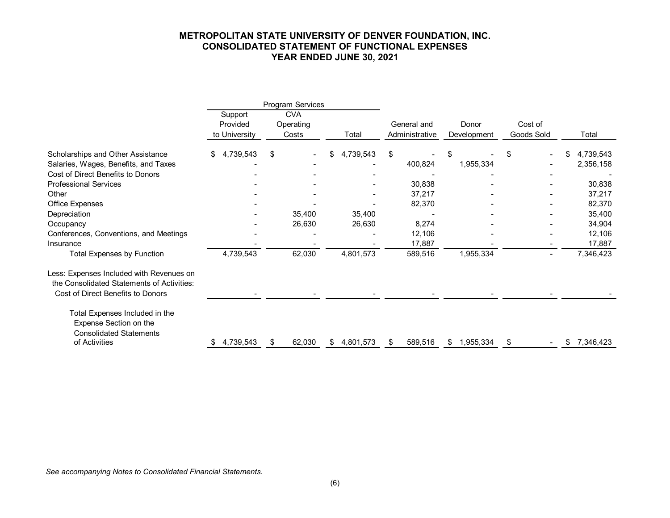#### **METROPOLITAN STATE UNIVERSITY OF DENVER FOUNDATION, INC. CONSOLIDATED STATEMENT OF FUNCTIONAL EXPENSES YEAR ENDED JUNE 30, 2021**

|                                                                                                                             |                                      | Program Services                 |                  |                               |                      |           |                       |  |                               |
|-----------------------------------------------------------------------------------------------------------------------------|--------------------------------------|----------------------------------|------------------|-------------------------------|----------------------|-----------|-----------------------|--|-------------------------------|
|                                                                                                                             | Support<br>Provided<br>to University | <b>CVA</b><br>Operating<br>Costs | Total            | General and<br>Administrative | Donor<br>Development |           | Cost of<br>Goods Sold |  | Total                         |
| Scholarships and Other Assistance<br>Salaries, Wages, Benefits, and Taxes<br>Cost of Direct Benefits to Donors              | \$<br>4,739,543                      | \$                               | \$<br>4,739,543  | \$<br>400,824                 | \$                   | 1,955,334 | \$                    |  | \$<br>4,739,543<br>2,356,158  |
| <b>Professional Services</b><br>Other<br>Office Expenses                                                                    |                                      |                                  |                  | 30,838<br>37,217<br>82,370    |                      |           |                       |  | 30,838<br>37,217<br>82,370    |
| Depreciation<br>Occupancy                                                                                                   |                                      | 35,400<br>26,630                 | 35,400<br>26,630 | 8,274                         |                      |           |                       |  | 35,400<br>34,904              |
| Conferences, Conventions, and Meetings<br>Insurance<br><b>Total Expenses by Function</b>                                    | 4,739,543                            | 62,030                           | 4,801,573        | 12,106<br>17,887<br>589,516   |                      | 1,955,334 |                       |  | 12,106<br>17,887<br>7,346,423 |
| Less: Expenses Included with Revenues on<br>the Consolidated Statements of Activities:<br>Cost of Direct Benefits to Donors |                                      |                                  |                  |                               |                      |           |                       |  |                               |
| Total Expenses Included in the<br>Expense Section on the<br><b>Consolidated Statements</b><br>of Activities                 | 4,739,543                            | 62,030                           | \$<br>4,801,573  | 589,516                       | \$                   | 1,955,334 |                       |  | \$<br>7,346,423               |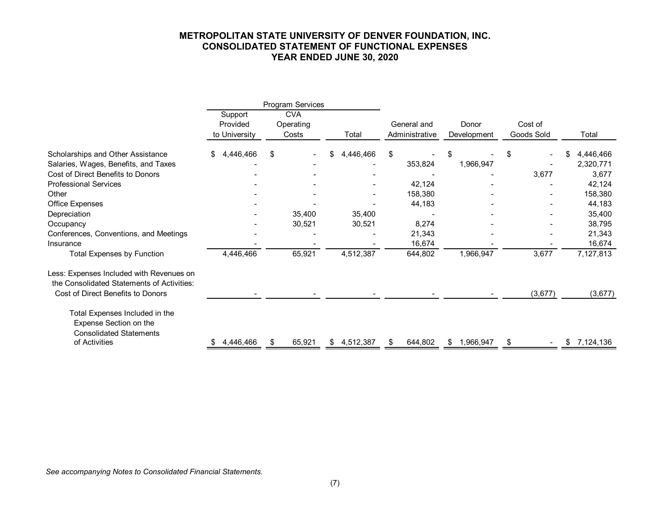#### **METROPOLITAN STATE UNIVERSITY OF DENVER FOUNDATION, INC. CONSOLIDATED STATEMENT OF FUNCTIONAL EXPENSES YEAR ENDED JUNE 30, 2020**

|                                                                                            |                                      | Program Services                 |                 |                               |                      |           |                       |                 |
|--------------------------------------------------------------------------------------------|--------------------------------------|----------------------------------|-----------------|-------------------------------|----------------------|-----------|-----------------------|-----------------|
|                                                                                            | Support<br>Provided<br>to University | <b>CVA</b><br>Operating<br>Costs | Total           | General and<br>Administrative | Donor<br>Development |           | Cost of<br>Goods Sold | Total           |
| Scholarships and Other Assistance                                                          | \$<br>4,446,466                      | \$                               | \$<br>4,446,466 | \$                            | \$                   |           | \$                    | \$<br>4,446,466 |
| Salaries, Wages, Benefits, and Taxes                                                       |                                      |                                  |                 | 353,824                       |                      | 1,966,947 |                       | 2,320,771       |
| Cost of Direct Benefits to Donors                                                          |                                      |                                  |                 |                               |                      |           | 3,677                 | 3,677           |
| <b>Professional Services</b>                                                               |                                      |                                  |                 | 42,124                        |                      |           |                       | 42,124          |
| Other                                                                                      |                                      |                                  |                 | 158,380                       |                      |           |                       | 158,380         |
| Office Expenses                                                                            |                                      |                                  |                 | 44,183                        |                      |           |                       | 44,183          |
| Depreciation                                                                               |                                      | 35,400                           | 35,400          |                               |                      |           |                       | 35,400          |
| Occupancy                                                                                  |                                      | 30,521                           | 30,521          | 8,274                         |                      |           |                       | 38,795          |
| Conferences, Conventions, and Meetings                                                     |                                      |                                  |                 | 21,343                        |                      |           |                       | 21,343          |
| Insurance                                                                                  |                                      |                                  |                 | 16,674                        |                      |           |                       | 16,674          |
| <b>Total Expenses by Function</b>                                                          | 4,446,466                            | 65,921                           | 4,512,387       | 644,802                       |                      | 1,966,947 | 3,677                 | 7,127,813       |
| Less: Expenses Included with Revenues on<br>the Consolidated Statements of Activities:     |                                      |                                  |                 |                               |                      |           |                       |                 |
| Cost of Direct Benefits to Donors                                                          |                                      |                                  |                 |                               |                      |           | (3,677)               | (3,677)         |
| Total Expenses Included in the<br>Expense Section on the<br><b>Consolidated Statements</b> |                                      |                                  |                 |                               |                      |           |                       |                 |
| of Activities                                                                              | 4,446,466                            | 65,921                           | \$<br>4,512,387 | 644,802                       | S.                   | 1,966,947 |                       | \$7,124,136     |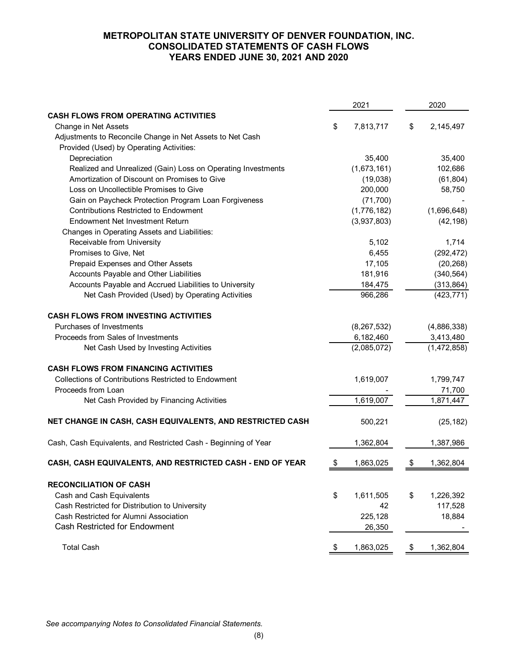# **METROPOLITAN STATE UNIVERSITY OF DENVER FOUNDATION, INC. CONSOLIDATED STATEMENTS OF CASH FLOWS YEARS ENDED JUNE 30, 2021 AND 2020**

|                                                                 | 2021            | 2020            |
|-----------------------------------------------------------------|-----------------|-----------------|
| <b>CASH FLOWS FROM OPERATING ACTIVITIES</b>                     |                 |                 |
| Change in Net Assets                                            | \$<br>7,813,717 | \$<br>2,145,497 |
| Adjustments to Reconcile Change in Net Assets to Net Cash       |                 |                 |
| Provided (Used) by Operating Activities:                        |                 |                 |
| Depreciation                                                    | 35,400          | 35,400          |
| Realized and Unrealized (Gain) Loss on Operating Investments    | (1,673,161)     | 102,686         |
| Amortization of Discount on Promises to Give                    | (19,038)        | (61, 804)       |
| Loss on Uncollectible Promises to Give                          | 200,000         | 58,750          |
| Gain on Paycheck Protection Program Loan Forgiveness            | (71, 700)       |                 |
| Contributions Restricted to Endowment                           | (1,776,182)     | (1,696,648)     |
| Endowment Net Investment Return                                 | (3,937,803)     | (42, 198)       |
| Changes in Operating Assets and Liabilities:                    |                 |                 |
| Receivable from University                                      | 5,102           | 1,714           |
| Promises to Give, Net                                           | 6,455           | (292, 472)      |
| Prepaid Expenses and Other Assets                               | 17,105          | (20, 268)       |
| Accounts Payable and Other Liabilities                          | 181,916         | (340, 564)      |
| Accounts Payable and Accrued Liabilities to University          | 184,475         | (313, 864)      |
| Net Cash Provided (Used) by Operating Activities                | 966,286         | (423, 771)      |
| <b>CASH FLOWS FROM INVESTING ACTIVITIES</b>                     |                 |                 |
| Purchases of Investments                                        | (8, 267, 532)   | (4,886,338)     |
| Proceeds from Sales of Investments                              | 6,182,460       | 3,413,480       |
| Net Cash Used by Investing Activities                           | (2,085,072)     | (1,472,858)     |
| <b>CASH FLOWS FROM FINANCING ACTIVITIES</b>                     |                 |                 |
| Collections of Contributions Restricted to Endowment            | 1,619,007       | 1,799,747       |
| Proceeds from Loan                                              |                 | 71,700          |
| Net Cash Provided by Financing Activities                       | 1,619,007       | 1,871,447       |
| NET CHANGE IN CASH, CASH EQUIVALENTS, AND RESTRICTED CASH       | 500,221         | (25, 182)       |
| Cash, Cash Equivalents, and Restricted Cash - Beginning of Year | 1,362,804       | 1,387,986       |
| CASH, CASH EQUIVALENTS, AND RESTRICTED CASH - END OF YEAR       | \$<br>1,863,025 | \$<br>1,362,804 |
| <b>RECONCILIATION OF CASH</b>                                   |                 |                 |
| Cash and Cash Equivalents                                       | \$<br>1,611,505 | \$<br>1,226,392 |
| Cash Restricted for Distribution to University                  | 42              | 117,528         |
| Cash Restricted for Alumni Association                          | 225,128         | 18,884          |
| <b>Cash Restricted for Endowment</b>                            | 26,350          |                 |
| <b>Total Cash</b>                                               | 1,863,025       | \$<br>1,362,804 |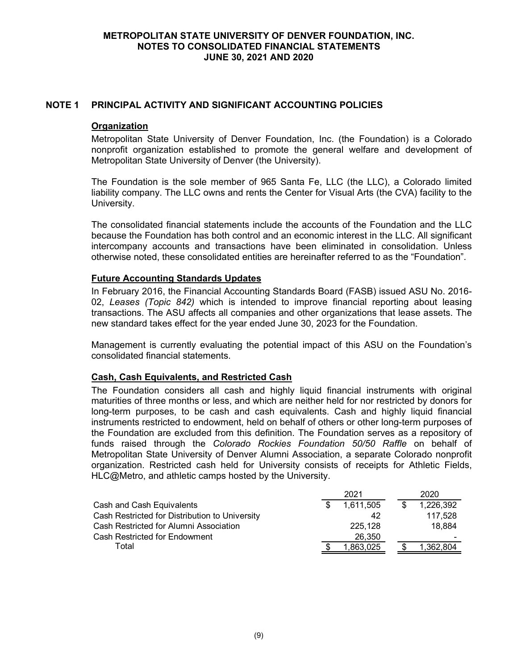### **NOTE 1 PRINCIPAL ACTIVITY AND SIGNIFICANT ACCOUNTING POLICIES**

#### **Organization**

Metropolitan State University of Denver Foundation, Inc. (the Foundation) is a Colorado nonprofit organization established to promote the general welfare and development of Metropolitan State University of Denver (the University).

The Foundation is the sole member of 965 Santa Fe, LLC (the LLC), a Colorado limited liability company. The LLC owns and rents the Center for Visual Arts (the CVA) facility to the University.

The consolidated financial statements include the accounts of the Foundation and the LLC because the Foundation has both control and an economic interest in the LLC. All significant intercompany accounts and transactions have been eliminated in consolidation. Unless otherwise noted, these consolidated entities are hereinafter referred to as the "Foundation".

### **Future Accounting Standards Updates**

In February 2016, the Financial Accounting Standards Board (FASB) issued ASU No. 2016- 02, *Leases (Topic 842)* which is intended to improve financial reporting about leasing transactions. The ASU affects all companies and other organizations that lease assets. The new standard takes effect for the year ended June 30, 2023 for the Foundation.

Management is currently evaluating the potential impact of this ASU on the Foundation's consolidated financial statements.

#### **Cash, Cash Equivalents, and Restricted Cash**

The Foundation considers all cash and highly liquid financial instruments with original maturities of three months or less, and which are neither held for nor restricted by donors for long-term purposes, to be cash and cash equivalents. Cash and highly liquid financial instruments restricted to endowment, held on behalf of others or other long-term purposes of the Foundation are excluded from this definition. The Foundation serves as a repository of funds raised through the *Colorado Rockies Foundation 50/50 Raffle* on behalf of Metropolitan State University of Denver Alumni Association, a separate Colorado nonprofit organization. Restricted cash held for University consists of receipts for Athletic Fields, HLC@Metro, and athletic camps hosted by the University.

|                                                | 2021      | 2020      |
|------------------------------------------------|-----------|-----------|
| Cash and Cash Equivalents                      | 1,611,505 | 1,226,392 |
| Cash Restricted for Distribution to University | 42        | 117.528   |
| Cash Restricted for Alumni Association         | 225.128   | 18,884    |
| Cash Restricted for Endowment                  | 26,350    |           |
| Total                                          | 1.863.025 | l.362.804 |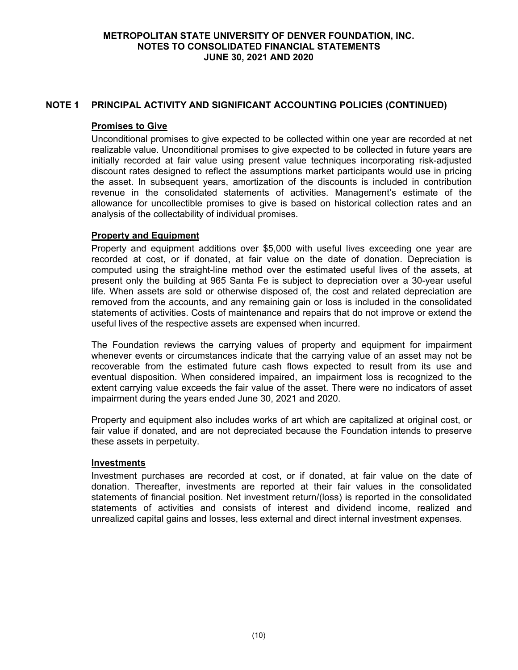# **NOTE 1 PRINCIPAL ACTIVITY AND SIGNIFICANT ACCOUNTING POLICIES (CONTINUED)**

#### **Promises to Give**

Unconditional promises to give expected to be collected within one year are recorded at net realizable value. Unconditional promises to give expected to be collected in future years are initially recorded at fair value using present value techniques incorporating risk-adjusted discount rates designed to reflect the assumptions market participants would use in pricing the asset. In subsequent years, amortization of the discounts is included in contribution revenue in the consolidated statements of activities. Management's estimate of the allowance for uncollectible promises to give is based on historical collection rates and an analysis of the collectability of individual promises.

# **Property and Equipment**

Property and equipment additions over \$5,000 with useful lives exceeding one year are recorded at cost, or if donated, at fair value on the date of donation. Depreciation is computed using the straight-line method over the estimated useful lives of the assets, at present only the building at 965 Santa Fe is subject to depreciation over a 30-year useful life. When assets are sold or otherwise disposed of, the cost and related depreciation are removed from the accounts, and any remaining gain or loss is included in the consolidated statements of activities. Costs of maintenance and repairs that do not improve or extend the useful lives of the respective assets are expensed when incurred.

The Foundation reviews the carrying values of property and equipment for impairment whenever events or circumstances indicate that the carrying value of an asset may not be recoverable from the estimated future cash flows expected to result from its use and eventual disposition. When considered impaired, an impairment loss is recognized to the extent carrying value exceeds the fair value of the asset. There were no indicators of asset impairment during the years ended June 30, 2021 and 2020.

Property and equipment also includes works of art which are capitalized at original cost, or fair value if donated, and are not depreciated because the Foundation intends to preserve these assets in perpetuity.

# **Investments**

Investment purchases are recorded at cost, or if donated, at fair value on the date of donation. Thereafter, investments are reported at their fair values in the consolidated statements of financial position. Net investment return/(loss) is reported in the consolidated statements of activities and consists of interest and dividend income, realized and unrealized capital gains and losses, less external and direct internal investment expenses.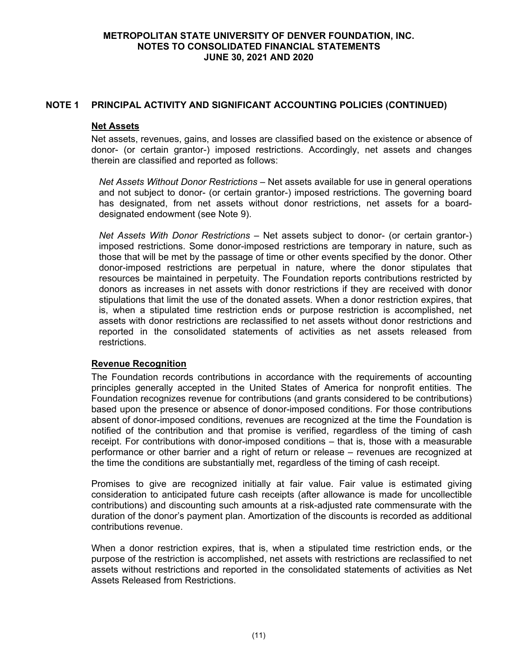### **NOTE 1 PRINCIPAL ACTIVITY AND SIGNIFICANT ACCOUNTING POLICIES (CONTINUED)**

#### **Net Assets**

Net assets, revenues, gains, and losses are classified based on the existence or absence of donor- (or certain grantor-) imposed restrictions. Accordingly, net assets and changes therein are classified and reported as follows:

*Net Assets Without Donor Restrictions* – Net assets available for use in general operations and not subject to donor- (or certain grantor-) imposed restrictions. The governing board has designated, from net assets without donor restrictions, net assets for a boarddesignated endowment (see Note 9).

*Net Assets With Donor Restrictions* – Net assets subject to donor- (or certain grantor-) imposed restrictions. Some donor-imposed restrictions are temporary in nature, such as those that will be met by the passage of time or other events specified by the donor. Other donor-imposed restrictions are perpetual in nature, where the donor stipulates that resources be maintained in perpetuity. The Foundation reports contributions restricted by donors as increases in net assets with donor restrictions if they are received with donor stipulations that limit the use of the donated assets. When a donor restriction expires, that is, when a stipulated time restriction ends or purpose restriction is accomplished, net assets with donor restrictions are reclassified to net assets without donor restrictions and reported in the consolidated statements of activities as net assets released from restrictions.

#### **Revenue Recognition**

The Foundation records contributions in accordance with the requirements of accounting principles generally accepted in the United States of America for nonprofit entities. The Foundation recognizes revenue for contributions (and grants considered to be contributions) based upon the presence or absence of donor-imposed conditions. For those contributions absent of donor-imposed conditions, revenues are recognized at the time the Foundation is notified of the contribution and that promise is verified, regardless of the timing of cash receipt. For contributions with donor-imposed conditions – that is, those with a measurable performance or other barrier and a right of return or release – revenues are recognized at the time the conditions are substantially met, regardless of the timing of cash receipt.

Promises to give are recognized initially at fair value. Fair value is estimated giving consideration to anticipated future cash receipts (after allowance is made for uncollectible contributions) and discounting such amounts at a risk-adjusted rate commensurate with the duration of the donor's payment plan. Amortization of the discounts is recorded as additional contributions revenue.

When a donor restriction expires, that is, when a stipulated time restriction ends, or the purpose of the restriction is accomplished, net assets with restrictions are reclassified to net assets without restrictions and reported in the consolidated statements of activities as Net Assets Released from Restrictions.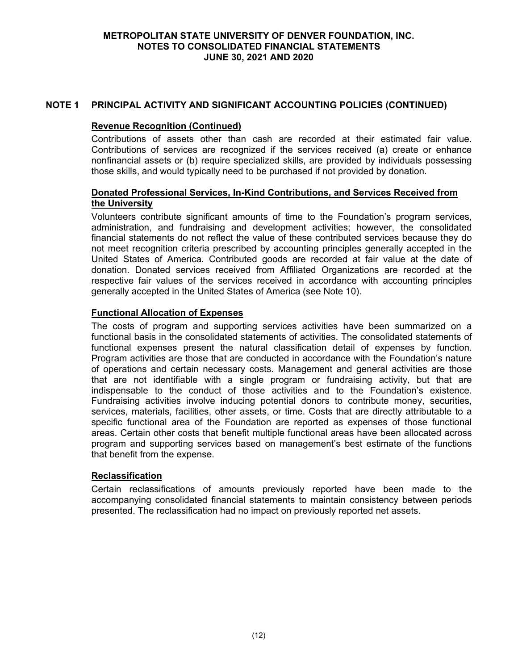### **NOTE 1 PRINCIPAL ACTIVITY AND SIGNIFICANT ACCOUNTING POLICIES (CONTINUED)**

#### **Revenue Recognition (Continued)**

Contributions of assets other than cash are recorded at their estimated fair value. Contributions of services are recognized if the services received (a) create or enhance nonfinancial assets or (b) require specialized skills, are provided by individuals possessing those skills, and would typically need to be purchased if not provided by donation.

### **Donated Professional Services, In-Kind Contributions, and Services Received from the University**

Volunteers contribute significant amounts of time to the Foundation's program services, administration, and fundraising and development activities; however, the consolidated financial statements do not reflect the value of these contributed services because they do not meet recognition criteria prescribed by accounting principles generally accepted in the United States of America. Contributed goods are recorded at fair value at the date of donation. Donated services received from Affiliated Organizations are recorded at the respective fair values of the services received in accordance with accounting principles generally accepted in the United States of America (see Note 10).

### **Functional Allocation of Expenses**

The costs of program and supporting services activities have been summarized on a functional basis in the consolidated statements of activities. The consolidated statements of functional expenses present the natural classification detail of expenses by function. Program activities are those that are conducted in accordance with the Foundation's nature of operations and certain necessary costs. Management and general activities are those that are not identifiable with a single program or fundraising activity, but that are indispensable to the conduct of those activities and to the Foundation's existence. Fundraising activities involve inducing potential donors to contribute money, securities, services, materials, facilities, other assets, or time. Costs that are directly attributable to a specific functional area of the Foundation are reported as expenses of those functional areas. Certain other costs that benefit multiple functional areas have been allocated across program and supporting services based on management's best estimate of the functions that benefit from the expense.

#### **Reclassification**

Certain reclassifications of amounts previously reported have been made to the accompanying consolidated financial statements to maintain consistency between periods presented. The reclassification had no impact on previously reported net assets.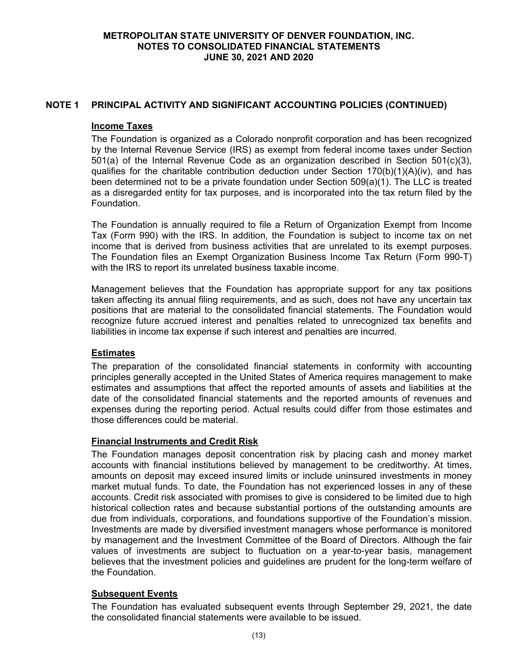# **NOTE 1 PRINCIPAL ACTIVITY AND SIGNIFICANT ACCOUNTING POLICIES (CONTINUED)**

# **Income Taxes**

The Foundation is organized as a Colorado nonprofit corporation and has been recognized by the Internal Revenue Service (IRS) as exempt from federal income taxes under Section 501(a) of the Internal Revenue Code as an organization described in Section 501(c)(3), qualifies for the charitable contribution deduction under Section  $170(b)(1)(A)(iv)$ , and has been determined not to be a private foundation under Section 509(a)(1). The LLC is treated as a disregarded entity for tax purposes, and is incorporated into the tax return filed by the Foundation.

The Foundation is annually required to file a Return of Organization Exempt from Income Tax (Form 990) with the IRS. In addition, the Foundation is subject to income tax on net income that is derived from business activities that are unrelated to its exempt purposes. The Foundation files an Exempt Organization Business Income Tax Return (Form 990-T) with the IRS to report its unrelated business taxable income.

Management believes that the Foundation has appropriate support for any tax positions taken affecting its annual filing requirements, and as such, does not have any uncertain tax positions that are material to the consolidated financial statements. The Foundation would recognize future accrued interest and penalties related to unrecognized tax benefits and liabilities in income tax expense if such interest and penalties are incurred.

# **Estimates**

The preparation of the consolidated financial statements in conformity with accounting principles generally accepted in the United States of America requires management to make estimates and assumptions that affect the reported amounts of assets and liabilities at the date of the consolidated financial statements and the reported amounts of revenues and expenses during the reporting period. Actual results could differ from those estimates and those differences could be material.

# **Financial Instruments and Credit Risk**

The Foundation manages deposit concentration risk by placing cash and money market accounts with financial institutions believed by management to be creditworthy. At times, amounts on deposit may exceed insured limits or include uninsured investments in money market mutual funds. To date, the Foundation has not experienced losses in any of these accounts. Credit risk associated with promises to give is considered to be limited due to high historical collection rates and because substantial portions of the outstanding amounts are due from individuals, corporations, and foundations supportive of the Foundation's mission. Investments are made by diversified investment managers whose performance is monitored by management and the Investment Committee of the Board of Directors. Although the fair values of investments are subject to fluctuation on a year-to-year basis, management believes that the investment policies and guidelines are prudent for the long-term welfare of the Foundation.

# **Subsequent Events**

The Foundation has evaluated subsequent events through September 29, 2021, the date the consolidated financial statements were available to be issued.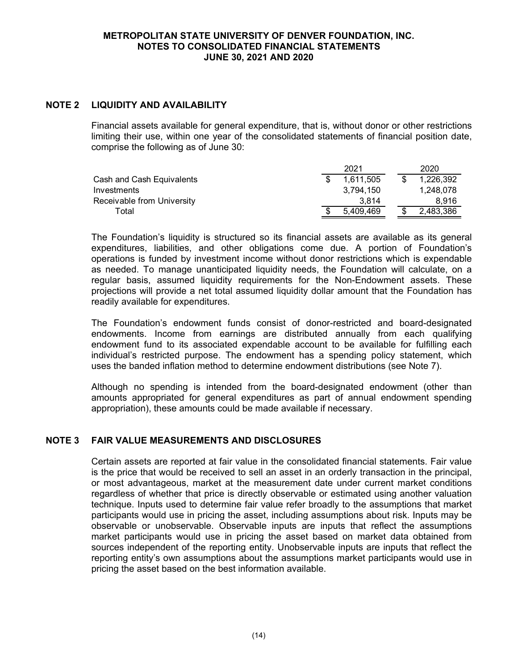# **NOTE 2 LIQUIDITY AND AVAILABILITY**

Financial assets available for general expenditure, that is, without donor or other restrictions limiting their use, within one year of the consolidated statements of financial position date, comprise the following as of June 30:

|                            | 2021      |  | 2020      |
|----------------------------|-----------|--|-----------|
| Cash and Cash Equivalents  | 1.611.505 |  | 1,226,392 |
| Investments                | 3.794.150 |  | 1.248.078 |
| Receivable from University | 3.814     |  | 8.916     |
| Total                      | 5.409.469 |  | 2.483.386 |

The Foundation's liquidity is structured so its financial assets are available as its general expenditures, liabilities, and other obligations come due. A portion of Foundation's operations is funded by investment income without donor restrictions which is expendable as needed. To manage unanticipated liquidity needs, the Foundation will calculate, on a regular basis, assumed liquidity requirements for the Non-Endowment assets. These projections will provide a net total assumed liquidity dollar amount that the Foundation has readily available for expenditures.

The Foundation's endowment funds consist of donor-restricted and board-designated endowments. Income from earnings are distributed annually from each qualifying endowment fund to its associated expendable account to be available for fulfilling each individual's restricted purpose. The endowment has a spending policy statement, which uses the banded inflation method to determine endowment distributions (see Note 7).

Although no spending is intended from the board-designated endowment (other than amounts appropriated for general expenditures as part of annual endowment spending appropriation), these amounts could be made available if necessary.

# **NOTE 3 FAIR VALUE MEASUREMENTS AND DISCLOSURES**

Certain assets are reported at fair value in the consolidated financial statements. Fair value is the price that would be received to sell an asset in an orderly transaction in the principal, or most advantageous, market at the measurement date under current market conditions regardless of whether that price is directly observable or estimated using another valuation technique. Inputs used to determine fair value refer broadly to the assumptions that market participants would use in pricing the asset, including assumptions about risk. Inputs may be observable or unobservable. Observable inputs are inputs that reflect the assumptions market participants would use in pricing the asset based on market data obtained from sources independent of the reporting entity. Unobservable inputs are inputs that reflect the reporting entity's own assumptions about the assumptions market participants would use in pricing the asset based on the best information available.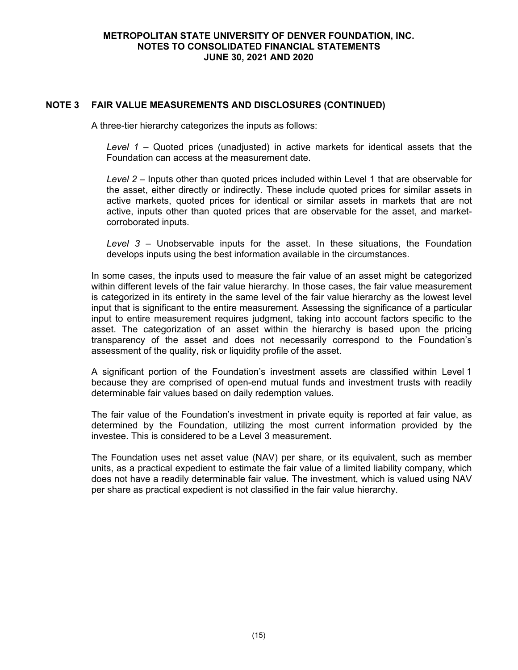### **NOTE 3 FAIR VALUE MEASUREMENTS AND DISCLOSURES (CONTINUED)**

A three-tier hierarchy categorizes the inputs as follows:

*Level 1* – Quoted prices (unadjusted) in active markets for identical assets that the Foundation can access at the measurement date.

*Level 2* – Inputs other than quoted prices included within Level 1 that are observable for the asset, either directly or indirectly. These include quoted prices for similar assets in active markets, quoted prices for identical or similar assets in markets that are not active, inputs other than quoted prices that are observable for the asset, and marketcorroborated inputs.

*Level 3* – Unobservable inputs for the asset. In these situations, the Foundation develops inputs using the best information available in the circumstances.

In some cases, the inputs used to measure the fair value of an asset might be categorized within different levels of the fair value hierarchy. In those cases, the fair value measurement is categorized in its entirety in the same level of the fair value hierarchy as the lowest level input that is significant to the entire measurement. Assessing the significance of a particular input to entire measurement requires judgment, taking into account factors specific to the asset. The categorization of an asset within the hierarchy is based upon the pricing transparency of the asset and does not necessarily correspond to the Foundation's assessment of the quality, risk or liquidity profile of the asset.

A significant portion of the Foundation's investment assets are classified within Level 1 because they are comprised of open-end mutual funds and investment trusts with readily determinable fair values based on daily redemption values.

The fair value of the Foundation's investment in private equity is reported at fair value, as determined by the Foundation, utilizing the most current information provided by the investee. This is considered to be a Level 3 measurement.

The Foundation uses net asset value (NAV) per share, or its equivalent, such as member units, as a practical expedient to estimate the fair value of a limited liability company, which does not have a readily determinable fair value. The investment, which is valued using NAV per share as practical expedient is not classified in the fair value hierarchy.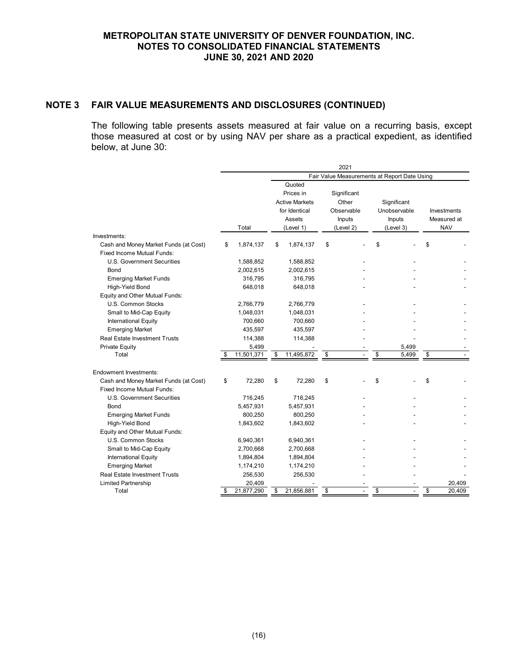# **NOTE 3 FAIR VALUE MEASUREMENTS AND DISCLOSURES (CONTINUED)**

The following table presents assets measured at fair value on a recurring basis, except those measured at cost or by using NAV per share as a practical expedient, as identified below, at June 30:

|                                       |                  |                       |            | 2021        |                                              |              |
|---------------------------------------|------------------|-----------------------|------------|-------------|----------------------------------------------|--------------|
|                                       |                  |                       |            |             | Fair Value Measurements at Report Date Using |              |
|                                       |                  | Quoted                |            |             |                                              |              |
|                                       |                  | Prices in             |            | Significant |                                              |              |
|                                       |                  | <b>Active Markets</b> |            | Other       | Significant                                  |              |
|                                       |                  | for Identical         |            | Observable  | Unobservable                                 | Investments  |
|                                       |                  | Assets                |            | Inputs      | Inputs                                       | Measured at  |
|                                       | Total            | (Level 1)             |            | (Level 2)   | (Level 3)                                    | <b>NAV</b>   |
| Investments:                          |                  |                       |            |             |                                              |              |
| Cash and Money Market Funds (at Cost) | \$<br>1,874,137  | \$<br>1,874,137       | \$         |             | \$                                           | \$           |
| <b>Fixed Income Mutual Funds:</b>     |                  |                       |            |             |                                              |              |
| U.S. Government Securities            | 1,588,852        | 1,588,852             |            |             |                                              |              |
| Bond                                  | 2,002,615        | 2,002,615             |            |             |                                              |              |
| <b>Emerging Market Funds</b>          | 316,795          | 316,795               |            |             |                                              |              |
| High-Yield Bond                       | 648,018          | 648,018               |            |             |                                              |              |
| Equity and Other Mutual Funds:        |                  |                       |            |             |                                              |              |
| U.S. Common Stocks                    | 2,766,779        | 2,766,779             |            |             |                                              |              |
| Small to Mid-Cap Equity               | 1,048,031        | 1,048,031             |            |             |                                              |              |
| <b>International Equity</b>           | 700,660          | 700,660               |            |             |                                              |              |
| <b>Emerging Market</b>                | 435,597          | 435,597               |            |             |                                              |              |
| <b>Real Estate Investment Trusts</b>  | 114,388          | 114,388               |            |             |                                              |              |
| <b>Private Equity</b>                 | 5,499            |                       |            |             | 5,499                                        |              |
| Total                                 | 11,501,371       | \$<br>11,495,872      | $\sqrt{2}$ |             | \$<br>5,499                                  | \$           |
| <b>Endowment Investments:</b>         |                  |                       |            |             |                                              |              |
| Cash and Money Market Funds (at Cost) | \$<br>72,280     | \$<br>72,280          | \$         |             | \$                                           | \$           |
| <b>Fixed Income Mutual Funds:</b>     |                  |                       |            |             |                                              |              |
| U.S. Government Securities            | 716,245          | 716,245               |            |             |                                              |              |
| Bond                                  | 5,457,931        | 5,457,931             |            |             |                                              |              |
| <b>Emerging Market Funds</b>          | 800,250          | 800,250               |            |             |                                              |              |
| High-Yield Bond                       | 1,843,602        | 1,843,602             |            |             |                                              |              |
| Equity and Other Mutual Funds:        |                  |                       |            |             |                                              |              |
| U.S. Common Stocks                    | 6,940,361        | 6,940,361             |            |             |                                              |              |
| Small to Mid-Cap Equity               | 2,700,668        | 2,700,668             |            |             |                                              |              |
| International Equity                  | 1,894,804        | 1,894,804             |            |             |                                              |              |
| <b>Emerging Market</b>                | 1,174,210        | 1,174,210             |            |             |                                              |              |
| <b>Real Estate Investment Trusts</b>  | 256,530          | 256,530               |            |             |                                              |              |
| <b>Limited Partnership</b>            | 20,409           |                       |            |             |                                              | 20,409       |
| Total                                 | \$<br>21,877,290 | \$<br>21,856,881      | \$         |             | \$<br>$\overline{\phantom{a}}$               | \$<br>20,409 |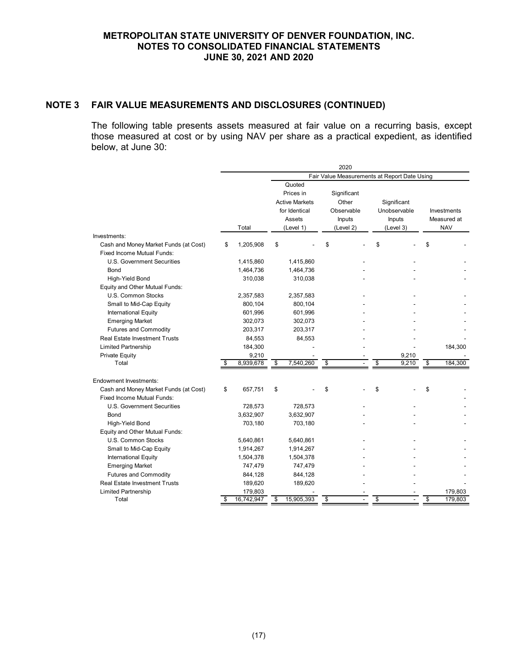# **NOTE 3 FAIR VALUE MEASUREMENTS AND DISCLOSURES (CONTINUED)**

The following table presents assets measured at fair value on a recurring basis, except those measured at cost or by using NAV per share as a practical expedient, as identified below, at June 30:

|                                       | 2020 |            |    |                                        |    |                     |    |                                              |    |             |  |
|---------------------------------------|------|------------|----|----------------------------------------|----|---------------------|----|----------------------------------------------|----|-------------|--|
|                                       |      |            |    |                                        |    |                     |    | Fair Value Measurements at Report Date Using |    |             |  |
|                                       |      |            |    | Quoted<br>Prices in                    |    | Significant         |    |                                              |    |             |  |
|                                       |      |            |    | <b>Active Markets</b><br>for Identical |    | Other<br>Observable |    | Significant<br>Unobservable                  |    | Investments |  |
|                                       |      |            |    | Assets                                 |    | Inputs              |    | Inputs                                       |    | Measured at |  |
|                                       |      | Total      |    | (Level 1)                              |    | (Level 2)           |    | (Level 3)                                    |    | <b>NAV</b>  |  |
| Investments:                          |      |            |    |                                        |    |                     |    |                                              |    |             |  |
| Cash and Money Market Funds (at Cost) | \$   | 1,205,908  | \$ |                                        | \$ |                     | \$ |                                              | \$ |             |  |
| <b>Fixed Income Mutual Funds:</b>     |      |            |    |                                        |    |                     |    |                                              |    |             |  |
| U.S. Government Securities            |      | 1,415,860  |    | 1,415,860                              |    |                     |    |                                              |    |             |  |
| Bond                                  |      | 1,464,736  |    | 1,464,736                              |    |                     |    |                                              |    |             |  |
| High-Yield Bond                       |      | 310,038    |    | 310,038                                |    |                     |    |                                              |    |             |  |
| Equity and Other Mutual Funds:        |      |            |    |                                        |    |                     |    |                                              |    |             |  |
| U.S. Common Stocks                    |      | 2,357,583  |    | 2,357,583                              |    |                     |    |                                              |    |             |  |
| Small to Mid-Cap Equity               |      | 800,104    |    | 800,104                                |    |                     |    |                                              |    |             |  |
| International Equity                  |      | 601,996    |    | 601,996                                |    |                     |    |                                              |    |             |  |
| <b>Emerging Market</b>                |      | 302,073    |    | 302,073                                |    |                     |    |                                              |    |             |  |
| <b>Futures and Commodity</b>          |      | 203,317    |    | 203,317                                |    |                     |    |                                              |    |             |  |
| <b>Real Estate Investment Trusts</b>  |      | 84,553     |    | 84,553                                 |    |                     |    |                                              |    |             |  |
| <b>Limited Partnership</b>            |      | 184,300    |    |                                        |    |                     |    |                                              |    | 184,300     |  |
| <b>Private Equity</b>                 |      | 9,210      |    |                                        |    |                     |    | 9,210                                        |    |             |  |
| Total                                 |      | 8,939,678  | \$ | 7,540,260                              | \$ |                     | \$ | 9,210                                        | \$ | 184,300     |  |
| Endowment Investments:                |      |            |    |                                        |    |                     |    |                                              |    |             |  |
| Cash and Money Market Funds (at Cost) | \$   | 657,751    | \$ |                                        | \$ |                     | \$ |                                              | \$ |             |  |
| <b>Fixed Income Mutual Funds:</b>     |      |            |    |                                        |    |                     |    |                                              |    |             |  |
| U.S. Government Securities            |      | 728,573    |    | 728,573                                |    |                     |    |                                              |    |             |  |
| Bond                                  |      | 3,632,907  |    | 3,632,907                              |    |                     |    |                                              |    |             |  |
| High-Yield Bond                       |      | 703,180    |    | 703,180                                |    |                     |    |                                              |    |             |  |
| Equity and Other Mutual Funds:        |      |            |    |                                        |    |                     |    |                                              |    |             |  |
| U.S. Common Stocks                    |      | 5,640,861  |    | 5,640,861                              |    |                     |    |                                              |    |             |  |
| Small to Mid-Cap Equity               |      | 1,914,267  |    | 1,914,267                              |    |                     |    |                                              |    |             |  |
| <b>International Equity</b>           |      | 1,504,378  |    | 1,504,378                              |    |                     |    |                                              |    |             |  |
| <b>Emerging Market</b>                |      | 747,479    |    | 747,479                                |    |                     |    |                                              |    |             |  |
| <b>Futures and Commodity</b>          |      | 844,128    |    | 844,128                                |    |                     |    |                                              |    |             |  |
| <b>Real Estate Investment Trusts</b>  |      | 189,620    |    | 189,620                                |    |                     |    |                                              |    |             |  |
| <b>Limited Partnership</b>            |      | 179,803    |    |                                        |    |                     |    |                                              |    | 179,803     |  |
| Total                                 | \$   | 16,742,947 | \$ | 15,905,393                             | \$ |                     | \$ |                                              | \$ | 179,803     |  |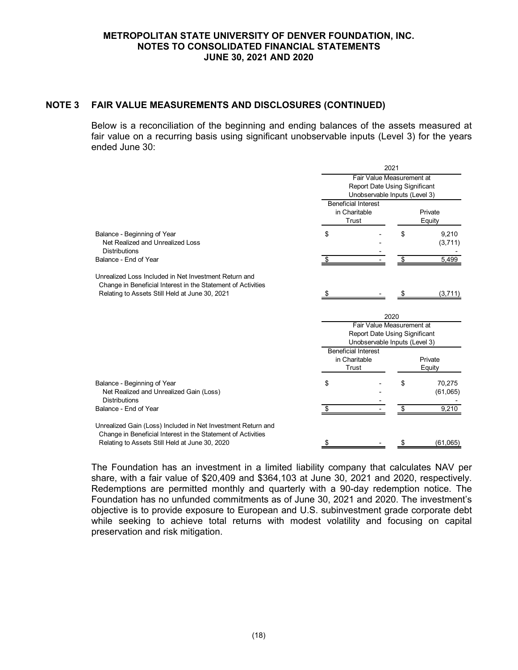# **NOTE 3 FAIR VALUE MEASUREMENTS AND DISCLOSURES (CONTINUED)**

Below is a reconciliation of the beginning and ending balances of the assets measured at fair value on a recurring basis using significant unobservable inputs (Level 3) for the years ended June 30:

|                                                                                                                              | 2021                                                               |                                     |                                                                       |                    |  |  |  |  |  |
|------------------------------------------------------------------------------------------------------------------------------|--------------------------------------------------------------------|-------------------------------------|-----------------------------------------------------------------------|--------------------|--|--|--|--|--|
|                                                                                                                              |                                                                    | Fair Value Measurement at           | <b>Report Date Using Significant</b><br>Unobservable Inputs (Level 3) |                    |  |  |  |  |  |
|                                                                                                                              | in Charitable                                                      | <b>Beneficial Interest</b><br>Trust | Private<br>Equity                                                     |                    |  |  |  |  |  |
| Balance - Beginning of Year<br>Net Realized and Unrealized Loss<br><b>Distributions</b>                                      | \$                                                                 |                                     | \$.                                                                   | 9,210<br>(3,711)   |  |  |  |  |  |
| Balance - End of Year                                                                                                        |                                                                    |                                     | \$                                                                    | 5,499              |  |  |  |  |  |
| Unrealized Loss Included in Net Investment Return and<br>Change in Beneficial Interest in the Statement of Activities        |                                                                    |                                     |                                                                       |                    |  |  |  |  |  |
| Relating to Assets Still Held at June 30, 2021                                                                               |                                                                    |                                     |                                                                       | (3,711)            |  |  |  |  |  |
|                                                                                                                              | 2020<br>Fair Value Measurement at<br>Report Date Using Significant |                                     |                                                                       |                    |  |  |  |  |  |
|                                                                                                                              | Unobservable Inputs (Level 3)                                      |                                     |                                                                       |                    |  |  |  |  |  |
|                                                                                                                              | in Charitable                                                      | <b>Beneficial Interest</b><br>Trust |                                                                       | Private<br>Equity  |  |  |  |  |  |
| Balance - Beginning of Year<br>Net Realized and Unrealized Gain (Loss)<br><b>Distributions</b>                               | \$                                                                 |                                     | \$                                                                    | 70,275<br>(61,065) |  |  |  |  |  |
| Balance - End of Year                                                                                                        |                                                                    |                                     |                                                                       | 9.210              |  |  |  |  |  |
| Unrealized Gain (Loss) Included in Net Investment Return and<br>Change in Beneficial Interest in the Statement of Activities |                                                                    |                                     |                                                                       |                    |  |  |  |  |  |
| Relating to Assets Still Held at June 30, 2020                                                                               | \$                                                                 |                                     |                                                                       | (61,065)           |  |  |  |  |  |

The Foundation has an investment in a limited liability company that calculates NAV per share, with a fair value of \$20,409 and \$364,103 at June 30, 2021 and 2020, respectively. Redemptions are permitted monthly and quarterly with a 90-day redemption notice. The Foundation has no unfunded commitments as of June 30, 2021 and 2020. The investment's objective is to provide exposure to European and U.S. subinvestment grade corporate debt while seeking to achieve total returns with modest volatility and focusing on capital preservation and risk mitigation.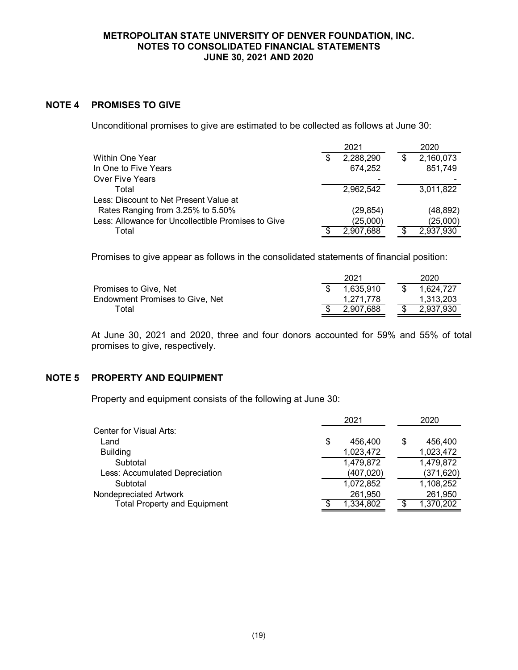#### **NOTE 4 PROMISES TO GIVE**

Unconditional promises to give are estimated to be collected as follows at June 30:

|                                                    |   | 2021      | 2020      |
|----------------------------------------------------|---|-----------|-----------|
| <b>Within One Year</b>                             | S | 2,288,290 | 2,160,073 |
| In One to Five Years                               |   | 674,252   | 851,749   |
| <b>Over Five Years</b>                             |   |           |           |
| Total                                              |   | 2,962,542 | 3,011,822 |
| Less: Discount to Net Present Value at             |   |           |           |
| Rates Ranging from 3.25% to 5.50%                  |   | (29, 854) | (48, 892) |
| Less: Allowance for Uncollectible Promises to Give |   | (25,000)  | (25,000)  |
| Total                                              |   | 2,907,688 | 2,937,930 |

Promises to give appear as follows in the consolidated statements of financial position:

|                                 | 2021      |  | 2020      |
|---------------------------------|-----------|--|-----------|
| Promises to Give. Net           | 1.635.910 |  | 1.624.727 |
| Endowment Promises to Give. Net | 1.271.778 |  | 1.313.203 |
| ™otal                           | 2.907.688 |  | 2.937.930 |

At June 30, 2021 and 2020, three and four donors accounted for 59% and 55% of total promises to give, respectively.

#### **NOTE 5 PROPERTY AND EQUIPMENT**

Property and equipment consists of the following at June 30:

|                                     | 2021          |   | 2020       |
|-------------------------------------|---------------|---|------------|
| Center for Visual Arts:             |               |   |            |
| Land                                | \$<br>456.400 | S | 456,400    |
| <b>Building</b>                     | 1,023,472     |   | 1,023,472  |
| Subtotal                            | 1,479,872     |   | 1,479,872  |
| Less: Accumulated Depreciation      | (407, 020)    |   | (371, 620) |
| Subtotal                            | 1,072,852     |   | 1,108,252  |
| Nondepreciated Artwork              | 261,950       |   | 261,950    |
| <b>Total Property and Equipment</b> | 1,334,802     |   | 1,370,202  |
|                                     |               |   |            |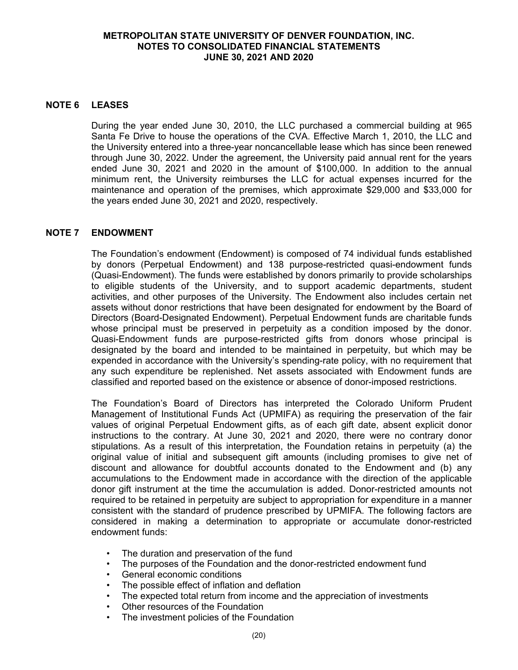### **NOTE 6 LEASES**

During the year ended June 30, 2010, the LLC purchased a commercial building at 965 Santa Fe Drive to house the operations of the CVA. Effective March 1, 2010, the LLC and the University entered into a three-year noncancellable lease which has since been renewed through June 30, 2022. Under the agreement, the University paid annual rent for the years ended June 30, 2021 and 2020 in the amount of \$100,000. In addition to the annual minimum rent, the University reimburses the LLC for actual expenses incurred for the maintenance and operation of the premises, which approximate \$29,000 and \$33,000 for the years ended June 30, 2021 and 2020, respectively.

### **NOTE 7 ENDOWMENT**

The Foundation's endowment (Endowment) is composed of 74 individual funds established by donors (Perpetual Endowment) and 138 purpose-restricted quasi-endowment funds (Quasi-Endowment). The funds were established by donors primarily to provide scholarships to eligible students of the University, and to support academic departments, student activities, and other purposes of the University. The Endowment also includes certain net assets without donor restrictions that have been designated for endowment by the Board of Directors (Board-Designated Endowment). Perpetual Endowment funds are charitable funds whose principal must be preserved in perpetuity as a condition imposed by the donor. Quasi-Endowment funds are purpose-restricted gifts from donors whose principal is designated by the board and intended to be maintained in perpetuity, but which may be expended in accordance with the University's spending-rate policy, with no requirement that any such expenditure be replenished. Net assets associated with Endowment funds are classified and reported based on the existence or absence of donor-imposed restrictions.

The Foundation's Board of Directors has interpreted the Colorado Uniform Prudent Management of Institutional Funds Act (UPMIFA) as requiring the preservation of the fair values of original Perpetual Endowment gifts, as of each gift date, absent explicit donor instructions to the contrary. At June 30, 2021 and 2020, there were no contrary donor stipulations. As a result of this interpretation, the Foundation retains in perpetuity (a) the original value of initial and subsequent gift amounts (including promises to give net of discount and allowance for doubtful accounts donated to the Endowment and (b) any accumulations to the Endowment made in accordance with the direction of the applicable donor gift instrument at the time the accumulation is added. Donor-restricted amounts not required to be retained in perpetuity are subject to appropriation for expenditure in a manner consistent with the standard of prudence prescribed by UPMIFA. The following factors are considered in making a determination to appropriate or accumulate donor-restricted endowment funds:

- The duration and preservation of the fund
- The purposes of the Foundation and the donor-restricted endowment fund
- General economic conditions
- The possible effect of inflation and deflation
- The expected total return from income and the appreciation of investments
- Other resources of the Foundation
- The investment policies of the Foundation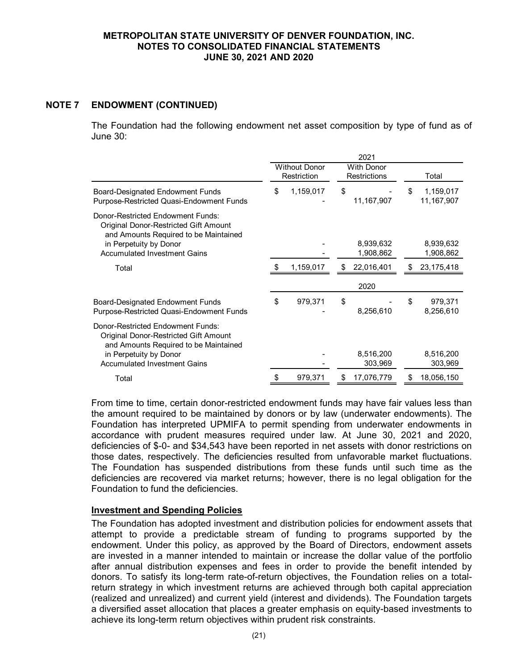# **NOTE 7 ENDOWMENT (CONTINUED)**

The Foundation had the following endowment net asset composition by type of fund as of June 30:

|                                                                                                                     | 2021 |                                     |    |                                          |    |                         |
|---------------------------------------------------------------------------------------------------------------------|------|-------------------------------------|----|------------------------------------------|----|-------------------------|
|                                                                                                                     |      | <b>Without Donor</b><br>Restriction |    | <b>With Donor</b><br><b>Restrictions</b> |    | Total                   |
| Board-Designated Endowment Funds<br>Purpose-Restricted Quasi-Endowment Funds                                        | \$   | 1,159,017                           | \$ | 11,167,907                               | \$ | 1,159,017<br>11,167,907 |
| Donor-Restricted Fndowment Funds:<br>Original Donor-Restricted Gift Amount<br>and Amounts Required to be Maintained |      |                                     |    |                                          |    |                         |
| in Perpetuity by Donor<br><b>Accumulated Investment Gains</b>                                                       |      |                                     |    | 8,939,632<br>1,908,862                   |    | 8,939,632<br>1,908,862  |
| Total                                                                                                               |      | 1,159,017                           | \$ | 22,016,401                               |    | 23,175,418              |
|                                                                                                                     |      |                                     |    | 2020                                     |    |                         |
| Board-Designated Endowment Funds<br>Purpose-Restricted Quasi-Endowment Funds                                        | \$   | 979,371                             | \$ | 8,256,610                                | \$ | 979,371<br>8,256,610    |
| Donor-Restricted Endowment Funds:<br>Original Donor-Restricted Gift Amount<br>and Amounts Required to be Maintained |      |                                     |    |                                          |    |                         |
| in Perpetuity by Donor<br><b>Accumulated Investment Gains</b>                                                       |      |                                     |    | 8,516,200<br>303,969                     |    | 8,516,200<br>303,969    |
| Total                                                                                                               |      | 979,371                             |    | 17,076,779                               |    | 18,056,150              |

From time to time, certain donor-restricted endowment funds may have fair values less than the amount required to be maintained by donors or by law (underwater endowments). The Foundation has interpreted UPMIFA to permit spending from underwater endowments in accordance with prudent measures required under law. At June 30, 2021 and 2020, deficiencies of \$-0- and \$34,543 have been reported in net assets with donor restrictions on those dates, respectively. The deficiencies resulted from unfavorable market fluctuations. The Foundation has suspended distributions from these funds until such time as the deficiencies are recovered via market returns; however, there is no legal obligation for the Foundation to fund the deficiencies.

#### **Investment and Spending Policies**

The Foundation has adopted investment and distribution policies for endowment assets that attempt to provide a predictable stream of funding to programs supported by the endowment. Under this policy, as approved by the Board of Directors, endowment assets are invested in a manner intended to maintain or increase the dollar value of the portfolio after annual distribution expenses and fees in order to provide the benefit intended by donors. To satisfy its long-term rate-of-return objectives, the Foundation relies on a totalreturn strategy in which investment returns are achieved through both capital appreciation (realized and unrealized) and current yield (interest and dividends). The Foundation targets a diversified asset allocation that places a greater emphasis on equity-based investments to achieve its long-term return objectives within prudent risk constraints.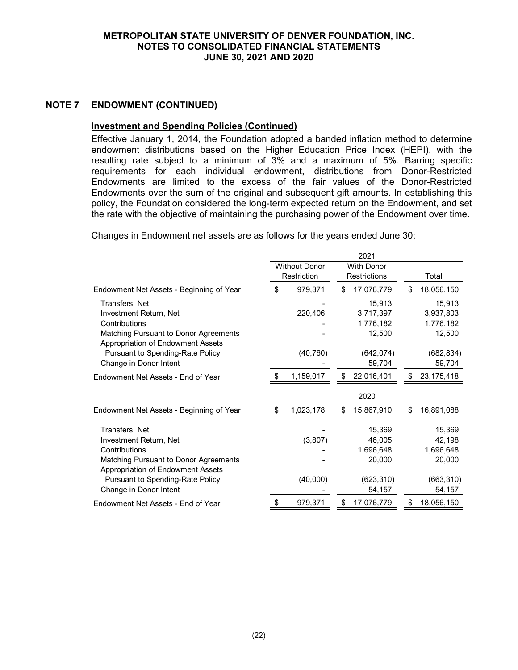#### **NOTE 7 ENDOWMENT (CONTINUED)**

# **Investment and Spending Policies (Continued)**

Effective January 1, 2014, the Foundation adopted a banded inflation method to determine endowment distributions based on the Higher Education Price Index (HEPI), with the resulting rate subject to a minimum of 3% and a maximum of 5%. Barring specific requirements for each individual endowment, distributions from Donor-Restricted Endowments are limited to the excess of the fair values of the Donor-Restricted Endowments over the sum of the original and subsequent gift amounts. In establishing this policy, the Foundation considered the long-term expected return on the Endowment, and set the rate with the objective of maintaining the purchasing power of the Endowment over time.

Changes in Endowment net assets are as follows for the years ended June 30:

|                                                                                                                                                                                                       |    |                                     | 2021                                                            |    |                                                                 |
|-------------------------------------------------------------------------------------------------------------------------------------------------------------------------------------------------------|----|-------------------------------------|-----------------------------------------------------------------|----|-----------------------------------------------------------------|
|                                                                                                                                                                                                       |    | <b>Without Donor</b><br>Restriction | <b>With Donor</b><br><b>Restrictions</b>                        |    | Total                                                           |
| Endowment Net Assets - Beginning of Year                                                                                                                                                              | \$ | 979,371                             | \$<br>17,076,779                                                | \$ | 18,056,150                                                      |
| Transfers, Net<br>Investment Return, Net<br>Contributions<br>Matching Pursuant to Donor Agreements<br>Appropriation of Endowment Assets<br>Pursuant to Spending-Rate Policy                           |    | 220,406<br>(40, 760)                | 15,913<br>3,717,397<br>1,776,182<br>12,500<br>(642, 074)        |    | 15,913<br>3,937,803<br>1,776,182<br>12,500<br>(682, 834)        |
| Change in Donor Intent                                                                                                                                                                                |    |                                     | 59,704                                                          |    | 59,704                                                          |
| Endowment Net Assets - End of Year                                                                                                                                                                    | -S | 1,159,017                           | \$<br>22,016,401                                                | S  | 23,175,418                                                      |
|                                                                                                                                                                                                       |    |                                     | 2020                                                            |    |                                                                 |
| Endowment Net Assets - Beginning of Year                                                                                                                                                              | \$ | 1,023,178                           | \$<br>15,867,910                                                | \$ | 16,891,088                                                      |
| Transfers, Net<br>Investment Return, Net<br>Contributions<br>Matching Pursuant to Donor Agreements<br>Appropriation of Endowment Assets<br>Pursuant to Spending-Rate Policy<br>Change in Donor Intent |    | (3,807)<br>(40,000)                 | 15,369<br>46,005<br>1,696,648<br>20,000<br>(623, 310)<br>54,157 |    | 15,369<br>42,198<br>1,696,648<br>20,000<br>(663, 310)<br>54,157 |
| Endowment Net Assets - End of Year                                                                                                                                                                    | \$ | 979,371                             | \$<br>17,076,779                                                | \$ | 18,056,150                                                      |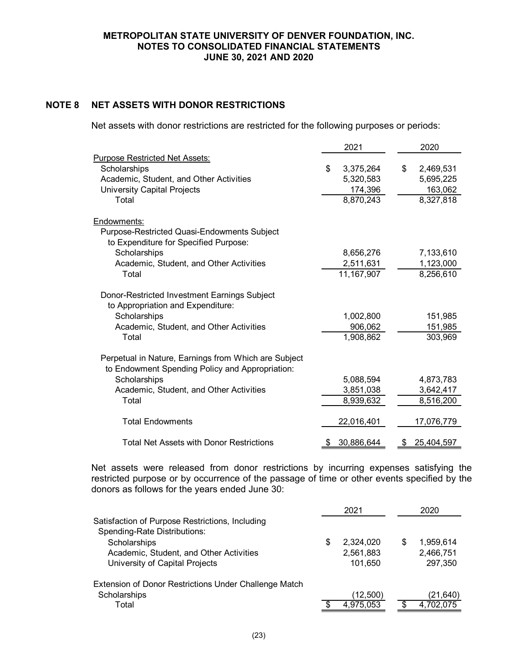# **NOTE 8 NET ASSETS WITH DONOR RESTRICTIONS**

Net assets with donor restrictions are restricted for the following purposes or periods:

|                                                                                                         | 2021             | 2020             |
|---------------------------------------------------------------------------------------------------------|------------------|------------------|
| <b>Purpose Restricted Net Assets:</b>                                                                   |                  |                  |
| Scholarships                                                                                            | \$<br>3,375,264  | \$<br>2,469,531  |
| Academic, Student, and Other Activities                                                                 | 5,320,583        | 5,695,225        |
| <b>University Capital Projects</b>                                                                      | 174,396          | 163,062          |
| Total                                                                                                   | 8,870,243        | 8,327,818        |
| Endowments:                                                                                             |                  |                  |
| Purpose-Restricted Quasi-Endowments Subject<br>to Expenditure for Specified Purpose:                    |                  |                  |
| Scholarships                                                                                            | 8,656,276        | 7,133,610        |
| Academic, Student, and Other Activities                                                                 | 2,511,631        | 1,123,000        |
| Total                                                                                                   | 11,167,907       | 8,256,610        |
| Donor-Restricted Investment Earnings Subject<br>to Appropriation and Expenditure:                       |                  |                  |
| Scholarships                                                                                            | 1,002,800        | 151,985          |
| Academic, Student, and Other Activities                                                                 | 906,062          | 151,985          |
| Total                                                                                                   | 1,908,862        | 303,969          |
| Perpetual in Nature, Earnings from Which are Subject<br>to Endowment Spending Policy and Appropriation: |                  |                  |
| Scholarships                                                                                            | 5,088,594        | 4,873,783        |
| Academic, Student, and Other Activities                                                                 | 3,851,038        | 3,642,417        |
| Total                                                                                                   | 8,939,632        | 8,516,200        |
| <b>Total Endowments</b>                                                                                 | 22,016,401       | 17,076,779       |
| <b>Total Net Assets with Donor Restrictions</b>                                                         | 30,886,644<br>\$ | 25,404,597<br>\$ |

Net assets were released from donor restrictions by incurring expenses satisfying the restricted purpose or by occurrence of the passage of time or other events specified by the donors as follows for the years ended June 30:

|                                                                                 |   | 2021      |   | 2020      |
|---------------------------------------------------------------------------------|---|-----------|---|-----------|
| Satisfaction of Purpose Restrictions, Including<br>Spending-Rate Distributions: |   |           |   |           |
| Scholarships                                                                    | S | 2,324,020 | S | 1,959,614 |
| Academic, Student, and Other Activities                                         |   | 2,561,883 |   | 2,466,751 |
| University of Capital Projects                                                  |   | 101,650   |   | 297,350   |
| <b>Extension of Donor Restrictions Under Challenge Match</b>                    |   |           |   |           |
| Scholarships                                                                    |   | (12,500)  |   | (21,640)  |
| Total                                                                           |   | 4,975,053 |   | 4,702,075 |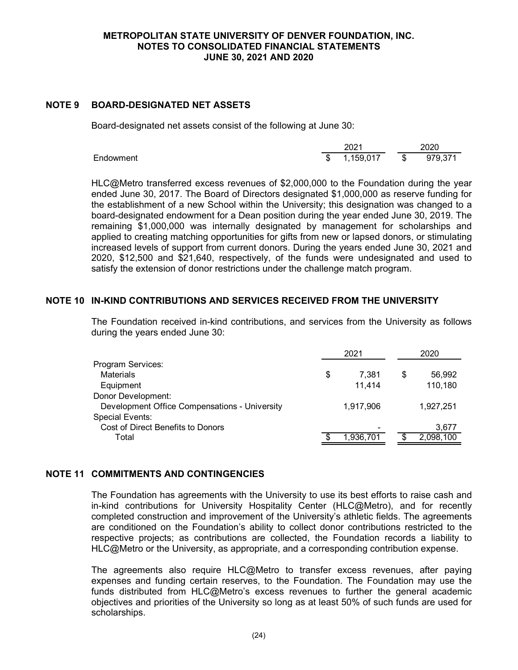### **NOTE 9 BOARD-DESIGNATED NET ASSETS**

Board-designated net assets consist of the following at June 30:

|           | 2021      |      | 2020    |
|-----------|-----------|------|---------|
| Endowment | 1,159,017 | - SS | 979,371 |

HLC@Metro transferred excess revenues of \$2,000,000 to the Foundation during the year ended June 30, 2017. The Board of Directors designated \$1,000,000 as reserve funding for the establishment of a new School within the University; this designation was changed to a board-designated endowment for a Dean position during the year ended June 30, 2019. The remaining \$1,000,000 was internally designated by management for scholarships and applied to creating matching opportunities for gifts from new or lapsed donors, or stimulating increased levels of support from current donors. During the years ended June 30, 2021 and 2020, \$12,500 and \$21,640, respectively, of the funds were undesignated and used to satisfy the extension of donor restrictions under the challenge match program.

### **NOTE 10 IN-KIND CONTRIBUTIONS AND SERVICES RECEIVED FROM THE UNIVERSITY**

The Foundation received in-kind contributions, and services from the University as follows during the years ended June 30:

|                                               | 2021        |   | 2020      |  |  |
|-----------------------------------------------|-------------|---|-----------|--|--|
| Program Services:                             |             |   |           |  |  |
| <b>Materials</b>                              | \$<br>7.381 | S | 56.992    |  |  |
| Equipment                                     | 11,414      |   | 110,180   |  |  |
| Donor Development:                            |             |   |           |  |  |
| Development Office Compensations - University | 1,917,906   |   | 1,927,251 |  |  |
| Special Events:                               |             |   |           |  |  |
| Cost of Direct Benefits to Donors             |             |   | 3,677     |  |  |
| Total                                         | 1,936,701   |   | 2,098,100 |  |  |
|                                               |             |   |           |  |  |

#### **NOTE 11 COMMITMENTS AND CONTINGENCIES**

The Foundation has agreements with the University to use its best efforts to raise cash and in-kind contributions for University Hospitality Center (HLC@Metro), and for recently completed construction and improvement of the University's athletic fields. The agreements are conditioned on the Foundation's ability to collect donor contributions restricted to the respective projects; as contributions are collected, the Foundation records a liability to HLC@Metro or the University, as appropriate, and a corresponding contribution expense.

The agreements also require HLC@Metro to transfer excess revenues, after paying expenses and funding certain reserves, to the Foundation. The Foundation may use the funds distributed from HLC@Metro's excess revenues to further the general academic objectives and priorities of the University so long as at least 50% of such funds are used for scholarships.